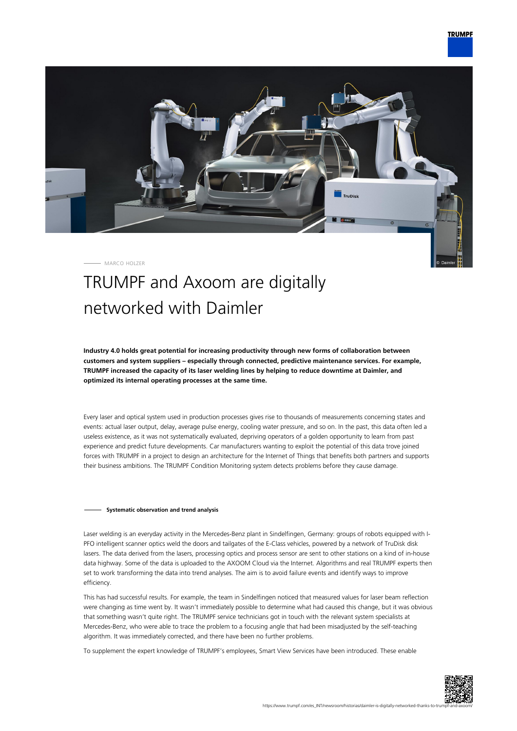

MARCO HOLZER

## TRUMPF and Axoom are digitally networked with Daimler

**Industry 4.0 holds great potential for increasing productivity through new forms of collaboration between customers and system suppliers – especially through connected, predictive maintenance services. For example, TRUMPF increased the capacity of its laser welding lines by helping to reduce downtime at Daimler, and optimized its internal operating processes at the same time.**

Every laser and optical system used in production processes gives rise to thousands of measurements concerning states and events: actual laser output, delay, average pulse energy, cooling water pressure, and so on. In the past, this data often led a useless existence, as it was not systematically evaluated, depriving operators of a golden opportunity to learn from past experience and predict future developments. Car manufacturers wanting to exploit the potential of this data trove joined forces with TRUMPF in a project to design an architecture for the Internet of Things that benefits both partners and supports their business ambitions. The TRUMPF Condition Monitoring system detects problems before they cause damage.

## **Systematic observation and trend analysis**

Laser welding is an everyday activity in the Mercedes-Benz plant in Sindelfingen, Germany: groups of robots equipped with I-PFO intelligent scanner optics weld the doors and tailgates of the E-Class vehicles, powered by a network of TruDisk disk lasers. The data derived from the lasers, processing optics and process sensor are sent to other stations on a kind of in-house data highway. Some of the data is uploaded to the AXOOM Cloud via the Internet. Algorithms and real TRUMPF experts then set to work transforming the data into trend analyses. The aim is to avoid failure events and identify ways to improve efficiency.

This has had successful results. For example, the team in Sindelfingen noticed that measured values for laser beam reflection were changing as time went by. It wasn't immediately possible to determine what had caused this change, but it was obvious that something wasn't quite right. The TRUMPF service technicians got in touch with the relevant system specialists at Mercedes-Benz, who were able to trace the problem to a focusing angle that had been misadjusted by the self-teaching algorithm. It was immediately corrected, and there have been no further problems.

To supplement the expert knowledge of TRUMPF's employees, Smart View Services have been introduced. These enable